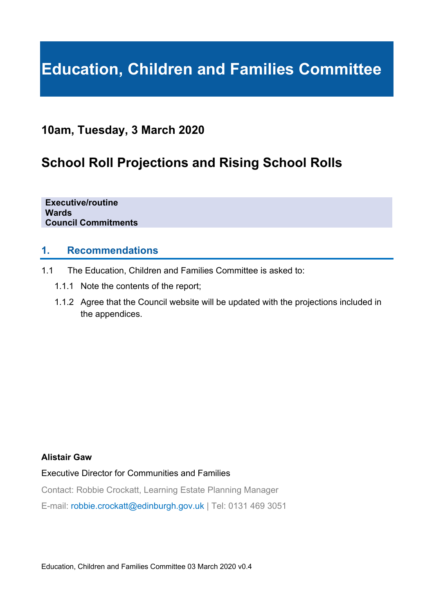# **Education, Children and Families Committee**

## **10am, Tuesday, 3 March 2020**

## **School Roll Projections and Rising School Rolls**

**Executive/routine Wards Council Commitments** 

## **1. Recommendations**

- 1.1 The Education, Children and Families Committee is asked to:
	- 1.1.1 Note the contents of the report;
	- 1.1.2 Agree that the Council website will be updated with the projections included in the appendices.

#### **Alistair Gaw**

## Executive Director for Communities and Families

Contact: Robbie Crockatt, Learning Estate Planning Manager

E-mail: robbie.crockatt@edinburgh.gov.uk | Tel: 0131 469 3051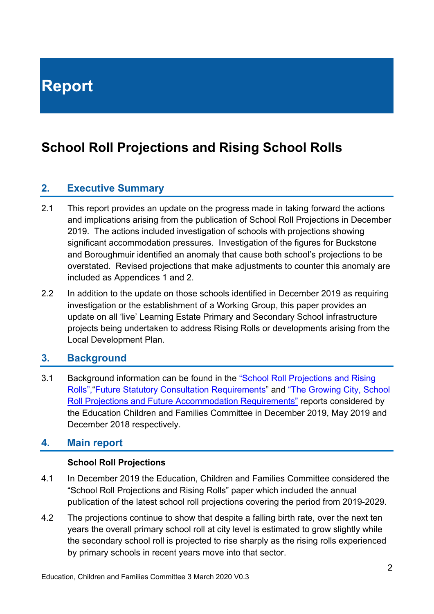## **School Roll Projections and Rising School Rolls**

## **2. Executive Summary**

- 2.1 This report provides an update on the progress made in taking forward the actions and implications arising from the publication of School Roll Projections in December 2019. The actions included investigation of schools with projections showing significant accommodation pressures. Investigation of the figures for Buckstone and Boroughmuir identified an anomaly that cause both school's projections to be overstated. Revised projections that make adjustments to counter this anomaly are included as Appendices 1 and 2.
- 2.2 In addition to the update on those schools identified in December 2019 as requiring investigation or the establishment of a Working Group, this paper provides an update on all 'live' Learning Estate Primary and Secondary School infrastructure projects being undertaken to address Rising Rolls or developments arising from the Local Development Plan.

## **3. Background**

3.1 Background information can be found in the "School Roll Projections and Rising Rolls","Future Statutory Consultation Requirements" and "The Growing City, School Roll Projections and Future Accommodation Requirements" reports considered by the Education Children and Families Committee in December 2019, May 2019 and December 2018 respectively.

## **4. Main report**

#### **School Roll Projections**

- 4.1 In December 2019 the Education, Children and Families Committee considered the "School Roll Projections and Rising Rolls" paper which included the annual publication of the latest school roll projections covering the period from 2019-2029.
- 4.2 The projections continue to show that despite a falling birth rate, over the next ten years the overall primary school roll at city level is estimated to grow slightly while the secondary school roll is projected to rise sharply as the rising rolls experienced by primary schools in recent years move into that sector.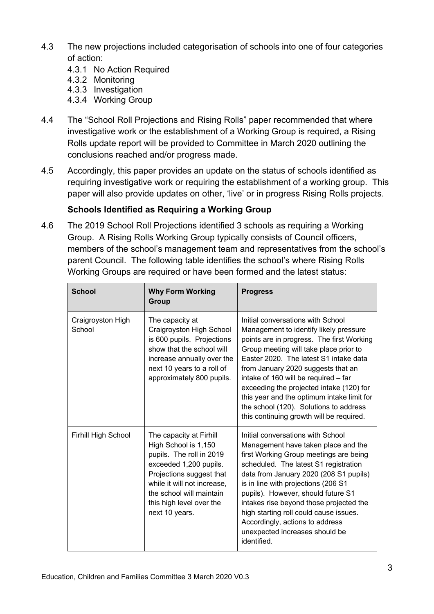- 4.3 The new projections included categorisation of schools into one of four categories of action:
	- 4.3.1 No Action Required
	- 4.3.2 Monitoring
	- 4.3.3 Investigation
	- 4.3.4 Working Group
- 4.4 The "School Roll Projections and Rising Rolls" paper recommended that where investigative work or the establishment of a Working Group is required, a Rising Rolls update report will be provided to Committee in March 2020 outlining the conclusions reached and/or progress made.
- 4.5 Accordingly, this paper provides an update on the status of schools identified as requiring investigative work or requiring the establishment of a working group. This paper will also provide updates on other, 'live' or in progress Rising Rolls projects.

## **Schools Identified as Requiring a Working Group**

4.6 The 2019 School Roll Projections identified 3 schools as requiring a Working Group. A Rising Rolls Working Group typically consists of Council officers, members of the school's management team and representatives from the school's parent Council. The following table identifies the school's where Rising Rolls Working Groups are required or have been formed and the latest status:

| <b>School</b>               | <b>Why Form Working</b><br>Group                                                                                                                                                                                                           | <b>Progress</b>                                                                                                                                                                                                                                                                                                                                                                                                                                                            |
|-----------------------------|--------------------------------------------------------------------------------------------------------------------------------------------------------------------------------------------------------------------------------------------|----------------------------------------------------------------------------------------------------------------------------------------------------------------------------------------------------------------------------------------------------------------------------------------------------------------------------------------------------------------------------------------------------------------------------------------------------------------------------|
| Craigroyston High<br>School | The capacity at<br>Craigroyston High School<br>is 600 pupils. Projections<br>show that the school will<br>increase annually over the<br>next 10 years to a roll of<br>approximately 800 pupils.                                            | Initial conversations with School<br>Management to identify likely pressure<br>points are in progress. The first Working<br>Group meeting will take place prior to<br>Easter 2020. The latest S1 intake data<br>from January 2020 suggests that an<br>intake of 160 will be required - far<br>exceeding the projected intake (120) for<br>this year and the optimum intake limit for<br>the school (120). Solutions to address<br>this continuing growth will be required. |
| Firhill High School         | The capacity at Firhill<br>High School is 1,150<br>pupils. The roll in 2019<br>exceeded 1,200 pupils.<br>Projections suggest that<br>while it will not increase,<br>the school will maintain<br>this high level over the<br>next 10 years. | Initial conversations with School<br>Management have taken place and the<br>first Working Group meetings are being<br>scheduled. The latest S1 registration<br>data from January 2020 (208 S1 pupils)<br>is in line with projections (206 S1<br>pupils). However, should future S1<br>intakes rise beyond those projected the<br>high starting roll could cause issues.<br>Accordingly, actions to address<br>unexpected increases should be<br>identified.                |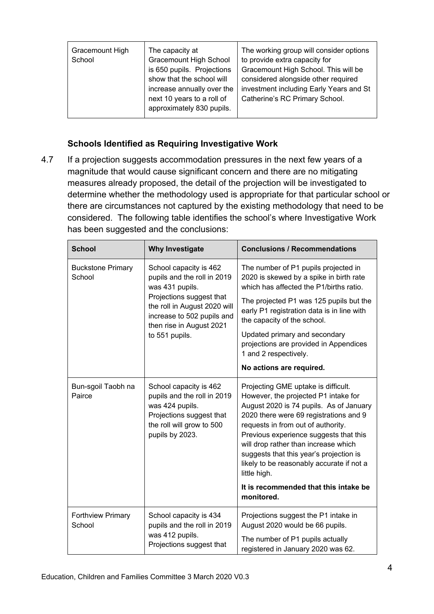| Gracemount High<br>School | The capacity at<br><b>Gracemount High School</b><br>is 650 pupils. Projections<br>show that the school will<br>increase annually over the<br>next 10 years to a roll of<br>approximately 830 pupils. | The working group will consider options<br>to provide extra capacity for<br>Gracemount High School. This will be<br>considered alongside other required<br>investment including Early Years and St<br>Catherine's RC Primary School. |
|---------------------------|------------------------------------------------------------------------------------------------------------------------------------------------------------------------------------------------------|--------------------------------------------------------------------------------------------------------------------------------------------------------------------------------------------------------------------------------------|
|---------------------------|------------------------------------------------------------------------------------------------------------------------------------------------------------------------------------------------------|--------------------------------------------------------------------------------------------------------------------------------------------------------------------------------------------------------------------------------------|

## **Schools Identified as Requiring Investigative Work**

4.7 If a projection suggests accommodation pressures in the next few years of a magnitude that would cause significant concern and there are no mitigating measures already proposed, the detail of the projection will be investigated to determine whether the methodology used is appropriate for that particular school or there are circumstances not captured by the existing methodology that need to be considered. The following table identifies the school's where Investigative Work has been suggested and the conclusions:

| <b>School</b>                      | <b>Why Investigate</b>                                                                                                                               | <b>Conclusions / Recommendations</b>                                                                                                                                                                                                                                                                                                                                                             |  |  |  |  |  |
|------------------------------------|------------------------------------------------------------------------------------------------------------------------------------------------------|--------------------------------------------------------------------------------------------------------------------------------------------------------------------------------------------------------------------------------------------------------------------------------------------------------------------------------------------------------------------------------------------------|--|--|--|--|--|
| <b>Buckstone Primary</b><br>School | School capacity is 462<br>pupils and the roll in 2019<br>was 431 pupils.                                                                             | The number of P1 pupils projected in<br>2020 is skewed by a spike in birth rate<br>which has affected the P1/births ratio.                                                                                                                                                                                                                                                                       |  |  |  |  |  |
|                                    | Projections suggest that<br>the roll in August 2020 will<br>increase to 502 pupils and<br>then rise in August 2021                                   | The projected P1 was 125 pupils but the<br>early P1 registration data is in line with<br>the capacity of the school.                                                                                                                                                                                                                                                                             |  |  |  |  |  |
|                                    | to 551 pupils.                                                                                                                                       | Updated primary and secondary<br>projections are provided in Appendices<br>1 and 2 respectively.                                                                                                                                                                                                                                                                                                 |  |  |  |  |  |
|                                    |                                                                                                                                                      | No actions are required.                                                                                                                                                                                                                                                                                                                                                                         |  |  |  |  |  |
| Bun-sgoil Taobh na<br>Pairce       | School capacity is 462<br>pupils and the roll in 2019<br>was 424 pupils.<br>Projections suggest that<br>the roll will grow to 500<br>pupils by 2023. | Projecting GME uptake is difficult.<br>However, the projected P1 intake for<br>August 2020 is 74 pupils. As of January<br>2020 there were 69 registrations and 9<br>requests in from out of authority.<br>Previous experience suggests that this<br>will drop rather than increase which<br>suggests that this year's projection is<br>likely to be reasonably accurate if not a<br>little high. |  |  |  |  |  |
|                                    |                                                                                                                                                      | It is recommended that this intake be<br>monitored.                                                                                                                                                                                                                                                                                                                                              |  |  |  |  |  |
| Forthview Primary<br>School        | School capacity is 434<br>pupils and the roll in 2019                                                                                                | Projections suggest the P1 intake in<br>August 2020 would be 66 pupils.                                                                                                                                                                                                                                                                                                                          |  |  |  |  |  |
|                                    | was 412 pupils.<br>Projections suggest that                                                                                                          | The number of P1 pupils actually<br>registered in January 2020 was 62.                                                                                                                                                                                                                                                                                                                           |  |  |  |  |  |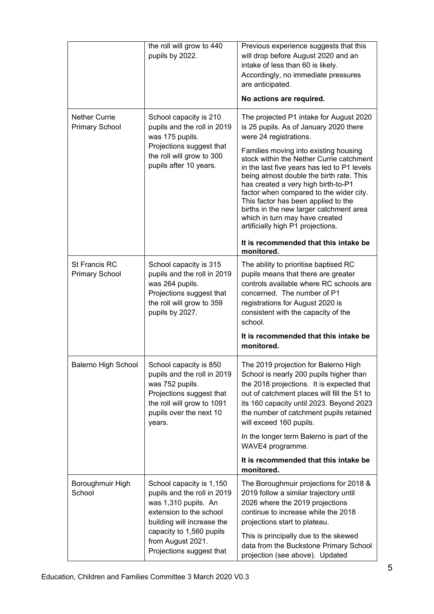|                                               | the roll will grow to 440<br>pupils by 2022.                                                                                                                                                                          | Previous experience suggests that this<br>will drop before August 2020 and an<br>intake of less than 60 is likely.<br>Accordingly, no immediate pressures<br>are anticipated.<br>No actions are required.                                                                                                                                                                                                                                                                                                                                                                                     |
|-----------------------------------------------|-----------------------------------------------------------------------------------------------------------------------------------------------------------------------------------------------------------------------|-----------------------------------------------------------------------------------------------------------------------------------------------------------------------------------------------------------------------------------------------------------------------------------------------------------------------------------------------------------------------------------------------------------------------------------------------------------------------------------------------------------------------------------------------------------------------------------------------|
| <b>Nether Currie</b><br><b>Primary School</b> | School capacity is 210<br>pupils and the roll in 2019<br>was 175 pupils.<br>Projections suggest that<br>the roll will grow to 300<br>pupils after 10 years.                                                           | The projected P1 intake for August 2020<br>is 25 pupils. As of January 2020 there<br>were 24 registrations.<br>Families moving into existing housing<br>stock within the Nether Currie catchment<br>in the last five years has led to P1 levels<br>being almost double the birth rate. This<br>has created a very high birth-to-P1<br>factor when compared to the wider city.<br>This factor has been applied to the<br>births in the new larger catchment area<br>which in turn may have created<br>artificially high P1 projections.<br>It is recommended that this intake be<br>monitored. |
| St Francis RC<br><b>Primary School</b>        | School capacity is 315<br>pupils and the roll in 2019<br>was 264 pupils.<br>Projections suggest that<br>the roll will grow to 359<br>pupils by 2027.                                                                  | The ability to prioritise baptised RC<br>pupils means that there are greater<br>controls available where RC schools are<br>concerned. The number of P1<br>registrations for August 2020 is<br>consistent with the capacity of the<br>school.<br>It is recommended that this intake be<br>monitored.                                                                                                                                                                                                                                                                                           |
| Balerno High School                           | School capacity is 850<br>pupils and the roll in 2019<br>was 752 pupils.<br>Projections suggest that<br>the roll will grow to 1091<br>pupils over the next 10<br>years.                                               | The 2019 projection for Balerno High<br>School is nearly 200 pupils higher than<br>the 2018 projections. It is expected that<br>out of catchment places will fill the S1 to<br>its 160 capacity until 2023. Beyond 2023<br>the number of catchment pupils retained<br>will exceed 160 pupils.<br>In the longer term Balerno is part of the<br>WAVE4 programme.<br>It is recommended that this intake be<br>monitored.                                                                                                                                                                         |
| Boroughmuir High<br>School                    | School capacity is 1,150<br>pupils and the roll in 2019<br>was 1,310 pupils. An<br>extension to the school<br>building will increase the<br>capacity to 1,560 pupils<br>from August 2021.<br>Projections suggest that | The Boroughmuir projections for 2018 &<br>2019 follow a similar trajectory until<br>2026 where the 2019 projections<br>continue to increase while the 2018<br>projections start to plateau.<br>This is principally due to the skewed<br>data from the Buckstone Primary School<br>projection (see above). Updated                                                                                                                                                                                                                                                                             |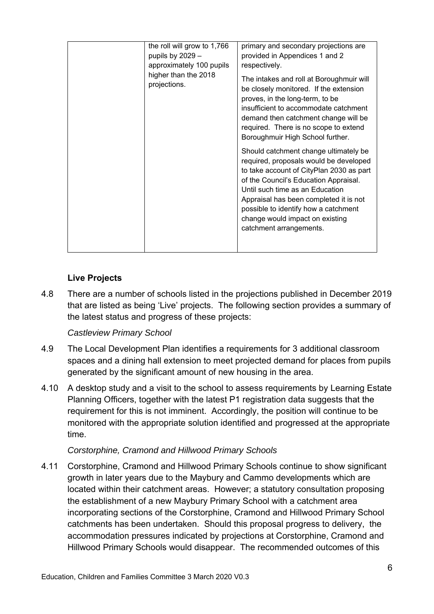| the roll will grow to 1,766<br>pupils by 2029 -<br>approximately 100 pupils<br>higher than the 2018<br>projections. | primary and secondary projections are<br>provided in Appendices 1 and 2<br>respectively.<br>The intakes and roll at Boroughmuir will<br>be closely monitored. If the extension<br>proves, in the long-term, to be<br>insufficient to accommodate catchment<br>demand then catchment change will be<br>required. There is no scope to extend                                                 |
|---------------------------------------------------------------------------------------------------------------------|---------------------------------------------------------------------------------------------------------------------------------------------------------------------------------------------------------------------------------------------------------------------------------------------------------------------------------------------------------------------------------------------|
|                                                                                                                     | Boroughmuir High School further.<br>Should catchment change ultimately be<br>required, proposals would be developed<br>to take account of CityPlan 2030 as part<br>of the Council's Education Appraisal.<br>Until such time as an Education<br>Appraisal has been completed it is not<br>possible to identify how a catchment<br>change would impact on existing<br>catchment arrangements. |

## **Live Projects**

4.8 There are a number of schools listed in the projections published in December 2019 that are listed as being 'Live' projects. The following section provides a summary of the latest status and progress of these projects:

#### *Castleview Primary School*

- 4.9 The Local Development Plan identifies a requirements for 3 additional classroom spaces and a dining hall extension to meet projected demand for places from pupils generated by the significant amount of new housing in the area.
- 4.10 A desktop study and a visit to the school to assess requirements by Learning Estate Planning Officers, together with the latest P1 registration data suggests that the requirement for this is not imminent. Accordingly, the position will continue to be monitored with the appropriate solution identified and progressed at the appropriate time.

#### *Corstorphine, Cramond and Hillwood Primary Schools*

4.11 Corstorphine, Cramond and Hillwood Primary Schools continue to show significant growth in later years due to the Maybury and Cammo developments which are located within their catchment areas. However; a statutory consultation proposing the establishment of a new Maybury Primary School with a catchment area incorporating sections of the Corstorphine, Cramond and Hillwood Primary School catchments has been undertaken. Should this proposal progress to delivery, the accommodation pressures indicated by projections at Corstorphine, Cramond and Hillwood Primary Schools would disappear. The recommended outcomes of this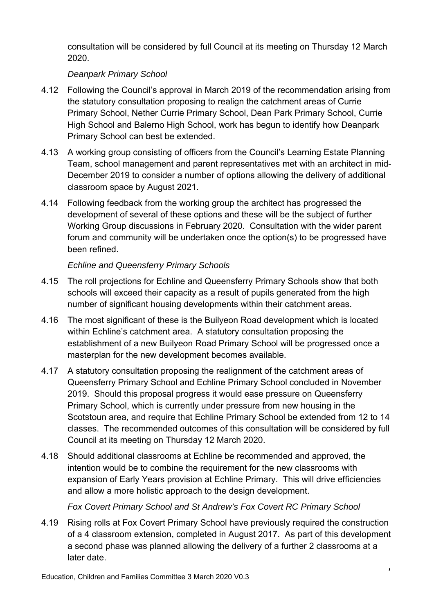consultation will be considered by full Council at its meeting on Thursday 12 March 2020.

## *Deanpark Primary School*

- 4.12 Following the Council's approval in March 2019 of the recommendation arising from the statutory consultation proposing to realign the catchment areas of Currie Primary School, Nether Currie Primary School, Dean Park Primary School, Currie High School and Balerno High School, work has begun to identify how Deanpark Primary School can best be extended.
- 4.13 A working group consisting of officers from the Council's Learning Estate Planning Team, school management and parent representatives met with an architect in mid-December 2019 to consider a number of options allowing the delivery of additional classroom space by August 2021.
- 4.14 Following feedback from the working group the architect has progressed the development of several of these options and these will be the subject of further Working Group discussions in February 2020. Consultation with the wider parent forum and community will be undertaken once the option(s) to be progressed have been refined.

## *Echline and Queensferry Primary Schools*

- 4.15 The roll projections for Echline and Queensferry Primary Schools show that both schools will exceed their capacity as a result of pupils generated from the high number of significant housing developments within their catchment areas.
- 4.16 The most significant of these is the Builyeon Road development which is located within Echline's catchment area. A statutory consultation proposing the establishment of a new Builyeon Road Primary School will be progressed once a masterplan for the new development becomes available.
- 4.17 A statutory consultation proposing the realignment of the catchment areas of Queensferry Primary School and Echline Primary School concluded in November 2019. Should this proposal progress it would ease pressure on Queensferry Primary School, which is currently under pressure from new housing in the Scotstoun area, and require that Echline Primary School be extended from 12 to 14 classes. The recommended outcomes of this consultation will be considered by full Council at its meeting on Thursday 12 March 2020.
- 4.18 Should additional classrooms at Echline be recommended and approved, the intention would be to combine the requirement for the new classrooms with expansion of Early Years provision at Echline Primary. This will drive efficiencies and allow a more holistic approach to the design development.

## *Fox Covert Primary School and St Andrew's Fox Covert RC Primary School*

4.19 Rising rolls at Fox Covert Primary School have previously required the construction of a 4 classroom extension, completed in August 2017. As part of this development a second phase was planned allowing the delivery of a further 2 classrooms at a later date.

 $\mathbf{r}$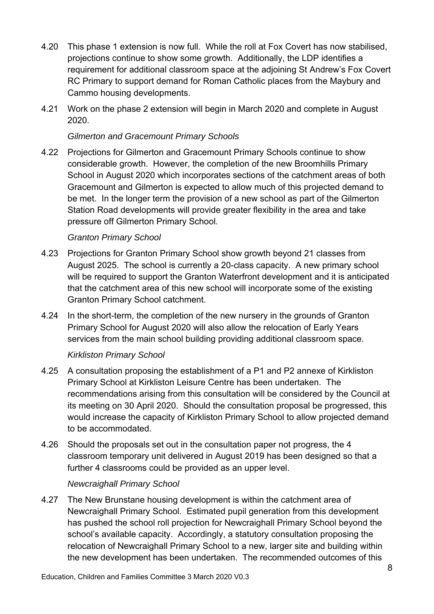- 4.20 This phase 1 extension is now full. While the roll at Fox Covert has now stabilised, projections continue to show some growth. Additionally, the LDP identifies a requirement for additional classroom space at the adjoining St Andrew's Fox Covert RC Primary to support demand for Roman Catholic places from the Maybury and Cammo housing developments.
- 4.21 Work on the phase 2 extension will begin in March 2020 and complete in August 2020.

#### *Gilmerton and Gracemount Primary Schools*

4.22 Projections for Gilmerton and Gracemount Primary Schools continue to show considerable growth. However, the completion of the new Broomhills Primary School in August 2020 which incorporates sections of the catchment areas of both Gracemount and Gilmerton is expected to allow much of this projected demand to be met. In the longer term the provision of a new school as part of the Gilmerton Station Road developments will provide greater flexibility in the area and take pressure off Gilmerton Primary School.

## *Granton Primary School*

- 4.23 Projections for Granton Primary School show growth beyond 21 classes from August 2025. The school is currently a 20-class capacity. A new primary school will be required to support the Granton Waterfront development and it is anticipated that the catchment area of this new school will incorporate some of the existing Granton Primary School catchment.
- 4.24 In the short-term, the completion of the new nursery in the grounds of Granton Primary School for August 2020 will also allow the relocation of Early Years services from the main school building providing additional classroom space.

#### *Kirkliston Primary School*

- 4.25 A consultation proposing the establishment of a P1 and P2 annexe of Kirkliston Primary School at Kirkliston Leisure Centre has been undertaken. The recommendations arising from this consultation will be considered by the Council at its meeting on 30 April 2020. Should the consultation proposal be progressed, this would increase the capacity of Kirkliston Primary School to allow projected demand to be accommodated.
- 4.26 Should the proposals set out in the consultation paper not progress, the 4 classroom temporary unit delivered in August 2019 has been designed so that a further 4 classrooms could be provided as an upper level.

#### *Newcraighall Primary School*

4.27 The New Brunstane housing development is within the catchment area of Newcraighall Primary School. Estimated pupil generation from this development has pushed the school roll projection for Newcraighall Primary School beyond the school's available capacity. Accordingly, a statutory consultation proposing the relocation of Newcraighall Primary School to a new, larger site and building within the new development has been undertaken. The recommended outcomes of this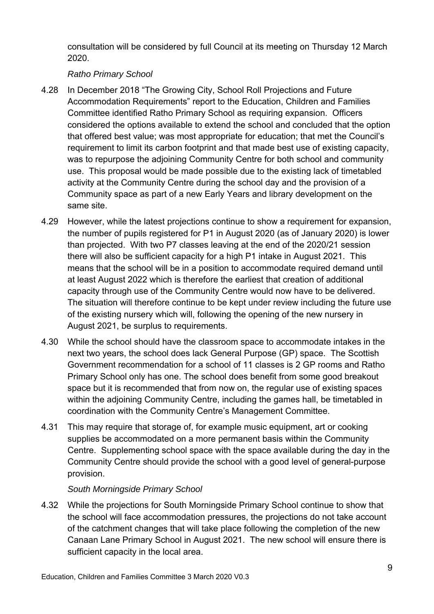consultation will be considered by full Council at its meeting on Thursday 12 March 2020.

## *Ratho Primary School*

- 4.28 In December 2018 "The Growing City, School Roll Projections and Future Accommodation Requirements" report to the Education, Children and Families Committee identified Ratho Primary School as requiring expansion. Officers considered the options available to extend the school and concluded that the option that offered best value; was most appropriate for education; that met the Council's requirement to limit its carbon footprint and that made best use of existing capacity, was to repurpose the adjoining Community Centre for both school and community use. This proposal would be made possible due to the existing lack of timetabled activity at the Community Centre during the school day and the provision of a Community space as part of a new Early Years and library development on the same site.
- 4.29 However, while the latest projections continue to show a requirement for expansion, the number of pupils registered for P1 in August 2020 (as of January 2020) is lower than projected. With two P7 classes leaving at the end of the 2020/21 session there will also be sufficient capacity for a high P1 intake in August 2021. This means that the school will be in a position to accommodate required demand until at least August 2022 which is therefore the earliest that creation of additional capacity through use of the Community Centre would now have to be delivered. The situation will therefore continue to be kept under review including the future use of the existing nursery which will, following the opening of the new nursery in August 2021, be surplus to requirements.
- 4.30 While the school should have the classroom space to accommodate intakes in the next two years, the school does lack General Purpose (GP) space. The Scottish Government recommendation for a school of 11 classes is 2 GP rooms and Ratho Primary School only has one. The school does benefit from some good breakout space but it is recommended that from now on, the regular use of existing spaces within the adjoining Community Centre, including the games hall, be timetabled in coordination with the Community Centre's Management Committee.
- 4.31 This may require that storage of, for example music equipment, art or cooking supplies be accommodated on a more permanent basis within the Community Centre. Supplementing school space with the space available during the day in the Community Centre should provide the school with a good level of general-purpose provision.

#### *South Morningside Primary School*

4.32 While the projections for South Morningside Primary School continue to show that the school will face accommodation pressures, the projections do not take account of the catchment changes that will take place following the completion of the new Canaan Lane Primary School in August 2021. The new school will ensure there is sufficient capacity in the local area.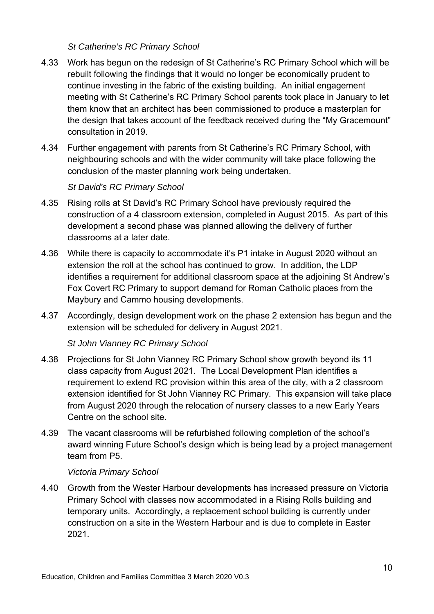#### *St Catherine's RC Primary School*

- 4.33 Work has begun on the redesign of St Catherine's RC Primary School which will be rebuilt following the findings that it would no longer be economically prudent to continue investing in the fabric of the existing building. An initial engagement meeting with St Catherine's RC Primary School parents took place in January to let them know that an architect has been commissioned to produce a masterplan for the design that takes account of the feedback received during the "My Gracemount" consultation in 2019.
- 4.34 Further engagement with parents from St Catherine's RC Primary School, with neighbouring schools and with the wider community will take place following the conclusion of the master planning work being undertaken.

#### *St David's RC Primary School*

- 4.35 Rising rolls at St David's RC Primary School have previously required the construction of a 4 classroom extension, completed in August 2015. As part of this development a second phase was planned allowing the delivery of further classrooms at a later date.
- 4.36 While there is capacity to accommodate it's P1 intake in August 2020 without an extension the roll at the school has continued to grow. In addition, the LDP identifies a requirement for additional classroom space at the adjoining St Andrew's Fox Covert RC Primary to support demand for Roman Catholic places from the Maybury and Cammo housing developments.
- 4.37 Accordingly, design development work on the phase 2 extension has begun and the extension will be scheduled for delivery in August 2021.

#### *St John Vianney RC Primary School*

- 4.38 Projections for St John Vianney RC Primary School show growth beyond its 11 class capacity from August 2021. The Local Development Plan identifies a requirement to extend RC provision within this area of the city, with a 2 classroom extension identified for St John Vianney RC Primary. This expansion will take place from August 2020 through the relocation of nursery classes to a new Early Years Centre on the school site.
- 4.39 The vacant classrooms will be refurbished following completion of the school's award winning Future School's design which is being lead by a project management team from P5.

#### *Victoria Primary School*

4.40 Growth from the Wester Harbour developments has increased pressure on Victoria Primary School with classes now accommodated in a Rising Rolls building and temporary units. Accordingly, a replacement school building is currently under construction on a site in the Western Harbour and is due to complete in Easter 2021.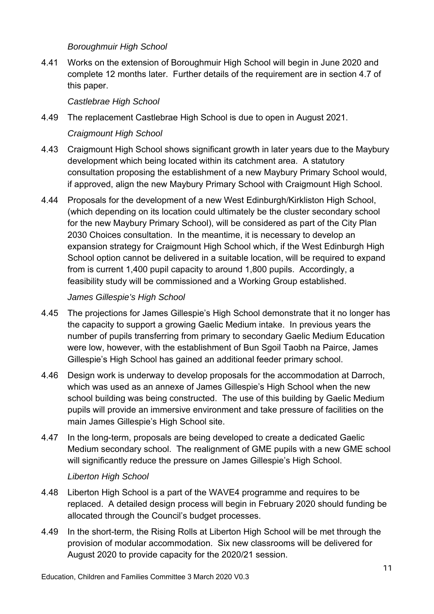#### *Boroughmuir High School*

4.41 Works on the extension of Boroughmuir High School will begin in June 2020 and complete 12 months later. Further details of the requirement are in section 4.7 of this paper.

#### *Castlebrae High School*

4.49 The replacement Castlebrae High School is due to open in August 2021.

#### *Craigmount High School*

- 4.43 Craigmount High School shows significant growth in later years due to the Maybury development which being located within its catchment area. A statutory consultation proposing the establishment of a new Maybury Primary School would, if approved, align the new Maybury Primary School with Craigmount High School.
- 4.44 Proposals for the development of a new West Edinburgh/Kirkliston High School, (which depending on its location could ultimately be the cluster secondary school for the new Maybury Primary School), will be considered as part of the City Plan 2030 Choices consultation. In the meantime, it is necessary to develop an expansion strategy for Craigmount High School which, if the West Edinburgh High School option cannot be delivered in a suitable location, will be required to expand from is current 1,400 pupil capacity to around 1,800 pupils. Accordingly, a feasibility study will be commissioned and a Working Group established.

#### *James Gillespie's High School*

- 4.45 The projections for James Gillespie's High School demonstrate that it no longer has the capacity to support a growing Gaelic Medium intake. In previous years the number of pupils transferring from primary to secondary Gaelic Medium Education were low, however, with the establishment of Bun Sgoil Taobh na Pairce, James Gillespie's High School has gained an additional feeder primary school.
- 4.46 Design work is underway to develop proposals for the accommodation at Darroch, which was used as an annexe of James Gillespie's High School when the new school building was being constructed. The use of this building by Gaelic Medium pupils will provide an immersive environment and take pressure of facilities on the main James Gillespie's High School site.
- 4.47 In the long-term, proposals are being developed to create a dedicated Gaelic Medium secondary school. The realignment of GME pupils with a new GME school will significantly reduce the pressure on James Gillespie's High School.

#### *Liberton High School*

- 4.48 Liberton High School is a part of the WAVE4 programme and requires to be replaced. A detailed design process will begin in February 2020 should funding be allocated through the Council's budget processes.
- 4.49 In the short-term, the Rising Rolls at Liberton High School will be met through the provision of modular accommodation. Six new classrooms will be delivered for August 2020 to provide capacity for the 2020/21 session.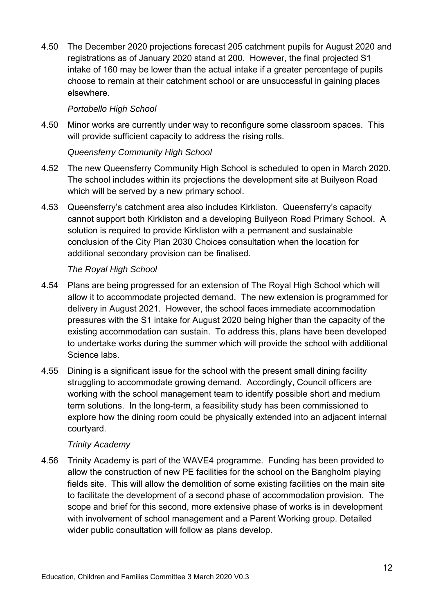4.50 The December 2020 projections forecast 205 catchment pupils for August 2020 and registrations as of January 2020 stand at 200. However, the final projected S1 intake of 160 may be lower than the actual intake if a greater percentage of pupils choose to remain at their catchment school or are unsuccessful in gaining places elsewhere.

#### *Portobello High School*

4.50 Minor works are currently under way to reconfigure some classroom spaces. This will provide sufficient capacity to address the rising rolls.

## *Queensferry Community High School*

- 4.52 The new Queensferry Community High School is scheduled to open in March 2020. The school includes within its projections the development site at Builyeon Road which will be served by a new primary school.
- 4.53 Queensferry's catchment area also includes Kirkliston. Queensferry's capacity cannot support both Kirkliston and a developing Builyeon Road Primary School. A solution is required to provide Kirkliston with a permanent and sustainable conclusion of the City Plan 2030 Choices consultation when the location for additional secondary provision can be finalised.

## *The Royal High School*

- 4.54 Plans are being progressed for an extension of The Royal High School which will allow it to accommodate projected demand. The new extension is programmed for delivery in August 2021. However, the school faces immediate accommodation pressures with the S1 intake for August 2020 being higher than the capacity of the existing accommodation can sustain. To address this, plans have been developed to undertake works during the summer which will provide the school with additional Science labs.
- 4.55 Dining is a significant issue for the school with the present small dining facility struggling to accommodate growing demand. Accordingly, Council officers are working with the school management team to identify possible short and medium term solutions. In the long-term, a feasibility study has been commissioned to explore how the dining room could be physically extended into an adjacent internal courtyard.

#### *Trinity Academy*

4.56 Trinity Academy is part of the WAVE4 programme. Funding has been provided to allow the construction of new PE facilities for the school on the Bangholm playing fields site. This will allow the demolition of some existing facilities on the main site to facilitate the development of a second phase of accommodation provision. The scope and brief for this second, more extensive phase of works is in development with involvement of school management and a Parent Working group. Detailed wider public consultation will follow as plans develop.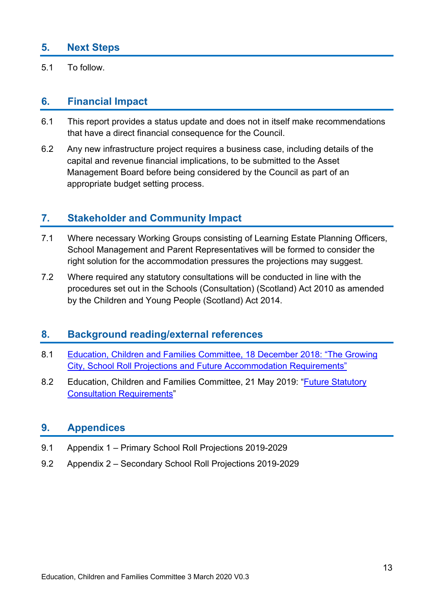## **5. Next Steps**

5.1 To follow.

## **6. Financial Impact**

- 6.1 This report provides a status update and does not in itself make recommendations that have a direct financial consequence for the Council.
- 6.2 Any new infrastructure project requires a business case, including details of the capital and revenue financial implications, to be submitted to the Asset Management Board before being considered by the Council as part of an appropriate budget setting process.

## **7. Stakeholder and Community Impact**

- 7.1 Where necessary Working Groups consisting of Learning Estate Planning Officers, School Management and Parent Representatives will be formed to consider the right solution for the accommodation pressures the projections may suggest.
- 7.2 Where required any statutory consultations will be conducted in line with the procedures set out in the Schools (Consultation) (Scotland) Act 2010 as amended by the Children and Young People (Scotland) Act 2014.

## **8. Background reading/external references**

- 8.1 Education, Children and Families Committee, 18 December 2018: "The Growing City, School Roll Projections and Future Accommodation Requirements"
- 8.2 Education, Children and Families Committee, 21 May 2019: "Future Statutory Consultation Requirements"

## **9. Appendices**

- 9.1 Appendix 1 Primary School Roll Projections 2019-2029
- 9.2 Appendix 2 Secondary School Roll Projections 2019-2029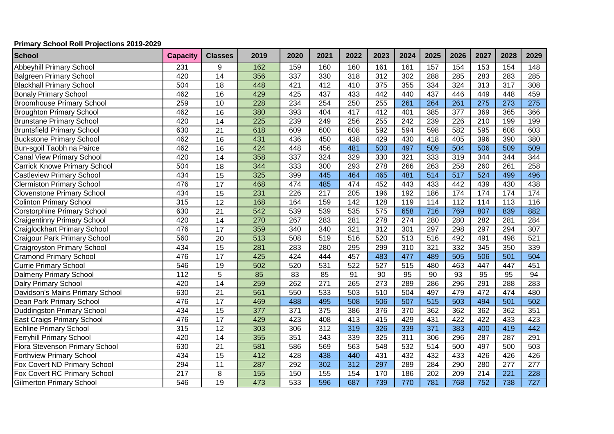#### **Primary School Roll Projections 2019-2029**

| <b>School</b>                       | <b>Capacity</b>  | <b>Classes</b>  | 2019             | 2020 | 2021             | 2022             | 2023             | 2024             | 2025             | 2026             | 2027             | 2028             | 2029             |
|-------------------------------------|------------------|-----------------|------------------|------|------------------|------------------|------------------|------------------|------------------|------------------|------------------|------------------|------------------|
| <b>Abbeyhill Primary School</b>     | 231              | 9               | 162              | 159  | 160              | 160              | 161              | 161              | 157              | 154              | 153              | 154              | 148              |
| <b>Balgreen Primary School</b>      | 420              | 14              | 356              | 337  | 330              | 318              | 312              | 302              | 288              | 285              | 283              | 283              | 285              |
| <b>Blackhall Primary School</b>     | 504              | 18              | 448              | 421  | 412              | 410              | $\frac{1}{375}$  | 355              | 334              | 324              | $\overline{313}$ | 317              | 308              |
| <b>Bonaly Primary School</b>        | 462              | 16              | 429              | 425  | 437              | 433              | 442              | 440              | 437              | 446              | 449              | 448              | 459              |
| <b>Broomhouse Primary School</b>    | 259              | 10              | 228              | 234  | 254              | 250              | 255              | $\overline{261}$ | 264              | 261              | 275              | $\overline{273}$ | $\overline{275}$ |
| <b>Broughton Primary School</b>     | 462              | 16              | 380              | 393  | 404              | 417              | 412              | 401              | 385              | $\overline{377}$ | 369              | 365              | 366              |
| <b>Brunstane Primary School</b>     | 420              | 14              | 225              | 239  | 249              | 256              | 255              | $\overline{242}$ | 239              | 226              | $\overline{210}$ | 199              | 199              |
| <b>Bruntsfield Primary School</b>   | 630              | $\overline{21}$ | 618              | 609  | 600              | 608              | 592              | 594              | 598              | 582              | 595              | 608              | 603              |
| <b>Buckstone Primary School</b>     | 462              | $\overline{16}$ | 431              | 436  | 450              | 438              | 429              | 430              | 418              | 405              | 396              | 390              | 380              |
| Bun-sgoil Taobh na Pairce           | 462              | $\overline{16}$ | 424              | 448  | 456              | 481              | 500              | 497              | 509              | 504              | 506              | 509              | 509              |
| <b>Canal View Primary School</b>    | 420              | 14              | 358              | 337  | 324              | 329              | 330              | 321              | 333              | 319              | 344              | 344              | 344              |
| <b>Carrick Knowe Primary School</b> | 504              | $\overline{18}$ | 344              | 333  | 300              | 293              | 278              | 266              | 263              | 258              | 260              | 261              | 258              |
| <b>Castleview Primary School</b>    | 434              | $\overline{15}$ | 325              | 399  | 445              | 464              | 465              | 481              | $\overline{514}$ | $\overline{517}$ | 524              | 499              | 496              |
| <b>Clermiston Primary School</b>    | 476              | 17              | 468              | 474  | 485              | 474              | 452              | 443              | 433              | 442              | 439              | 430              | 438              |
| <b>Clovenstone Primary School</b>   | 434              | $\overline{15}$ | 231              | 226  | 217              | 205              | 196              | 192              | 186              | 174              | 174              | 174              | 174              |
| <b>Colinton Primary School</b>      | 315              | $\overline{12}$ | 168              | 164  | 159              | 142              | 128              | 119              | 114              | 112              | 114              | 113              | 116              |
| <b>Corstorphine Primary School</b>  | 630              | $\overline{21}$ | 542              | 539  | 539              | 535              | 575              | 658              | 716              | 769              | 807              | 839              | 882              |
| <b>Craigentinny Primary School</b>  | 420              | $\overline{14}$ | 270              | 267  | 283              | 281              | 278              | $\overline{274}$ | 280              | 280              | 282              | 281              | 284              |
| <b>Craiglockhart Primary School</b> | 476              | $\overline{17}$ | 359              | 340  | 340              | 321              | 312              | 301              | 297              | 298              | 297              | 294              | $\overline{307}$ |
| <b>Craigour Park Primary School</b> | 560              | 20              | 513              | 508  | 519              | 516              | 520              | 513              | 516              | 492              | 491              | 498              | 521              |
| <b>Craigroyston Primary School</b>  | 434              | 15              | 281              | 283  | 280              | 295              | 299              | 310              | 321              | 332              | 345              | 350              | 339              |
| <b>Cramond Primary School</b>       | 476              | 17              | 425              | 424  | 444              | 457              | 483              | 477              | 489              | 505              | 506              | 501              | 504              |
| <b>Currie Primary School</b>        | 546              | $\overline{19}$ | 502              | 520  | 531              | 522              | 527              | $\overline{515}$ | 480              | 463              | 447              | 447              | 451              |
| <b>Dalmeny Primary School</b>       | 112              | $\overline{5}$  | 85               | 83   | 85               | 91               | $\overline{90}$  | $\overline{95}$  | $\overline{90}$  | $\overline{93}$  | 95               | 95               | 94               |
| <b>Dalry Primary School</b>         | 420              | 14              | 259              | 262  | 271              | 265              | 273              | 289              | 286              | 296              | 291              | 288              | 283              |
| Davidson's Mains Primary School     | 630              | $\overline{21}$ | 561              | 550  | 533              | 503              | 510              | 504              | 497              | 479              | 472              | 474              | 480              |
| Dean Park Primary School            | 476              | 17              | 469              | 488  | 495              | 508              | 506              | 507              | $\overline{515}$ | 503              | 494              | 501              | 502              |
| <b>Duddingston Primary School</b>   | 434              | 15              | $\overline{377}$ | 371  | $\overline{375}$ | 386              | 376              | 370              | 362              | 362              | 362              | 362              | 351              |
| <b>East Craigs Primary School</b>   | 476              | 17              | 429              | 423  | 408              | 413              | 415              | 429              | 431              | 422              | 422              | 433              | 423              |
| <b>Echline Primary School</b>       | 315              | $\overline{12}$ | 303              | 306  | 312              | 319              | 326              | 339              | $\overline{371}$ | 383              | 400              | 419              | 442              |
| <b>Ferryhill Primary School</b>     | 420              | $\overline{14}$ | 355              | 351  | $\frac{1}{343}$  | 339              | 325              | 311              | 306              | 296              | 287              | 287              | 291              |
| Flora Stevenson Primary School      | 630              | $\overline{21}$ | 581              | 586  | 569              | 563              | 548              | 532              | $\overline{514}$ | 500              | 497              | 500              | 503              |
| <b>Forthview Primary School</b>     | 434              | $\overline{15}$ | 412              | 428  | 438              | 440              | 431              | 432              | 432              | 433              | 426              | 426              | 426              |
| Fox Covert ND Primary School        | 294              | $\overline{11}$ | 287              | 292  | 302              | $\overline{312}$ | 297              | 289              | 284              | 290              | 280              | $\overline{277}$ | $\overline{277}$ |
| Fox Covert RC Primary School        | $\overline{217}$ | $\overline{8}$  | 155              | 150  | 155              | 154              | 170              | 186              | $\overline{202}$ | $\overline{209}$ | $\overline{214}$ | $\overline{221}$ | 228              |
| <b>Gilmerton Primary School</b>     | $\overline{546}$ | 19              | 473              | 533  | 596              | 687              | $\overline{739}$ | 770              | 781              | 768              | 752              | 738              | 727              |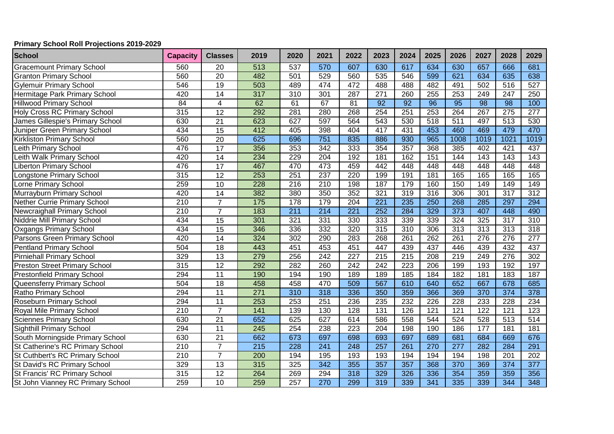#### **Primary School Roll Projections 2019-2029**

| <b>School</b>                        | <b>Capacity</b>  | <b>Classes</b>  | 2019              | 2020             | 2021             | 2022             | 2023             | 2024             | 2025             | 2026             | 2027             | 2028             | 2029             |
|--------------------------------------|------------------|-----------------|-------------------|------------------|------------------|------------------|------------------|------------------|------------------|------------------|------------------|------------------|------------------|
| <b>Gracemount Primary School</b>     | 560              | 20              | 513               | 537              | 570              | 607              | 630              | 617              | 634              | 630              | 657              | 666              | 681              |
| <b>Granton Primary School</b>        | 560              | 20              | 482               | 501              | 529              | 560              | 535              | 546              | 599              | 621              | 634              | 635              | 638              |
| <b>Gylemuir Primary School</b>       | 546              | 19              | 503               | 489              | 474              | 472              | 488              | 488              | 482              | 491              | 502              | 516              | $\overline{527}$ |
| Hermitage Park Primary School        | 420              | 14              | 317               | $\overline{310}$ | 301              | 287              | 271              | 260              | 255              | 253              | 249              | 247              | 250              |
| <b>Hillwood Primary School</b>       | $\overline{84}$  | $\overline{4}$  | 62                | 61               | 67               | 81               | $\overline{92}$  | $\overline{92}$  | 96               | $\overline{95}$  | $\overline{98}$  | $\overline{98}$  | 100              |
| <b>Holy Cross RC Primary School</b>  | 315              | 12              | 292               | 281              | 280              | 268              | 254              | 251              | 253              | 264              | 267              | $\overline{275}$ | $\overline{277}$ |
| James Gillespie's Primary School     | 630              | 21              | 623               | 627              | 597              | 564              | $\overline{543}$ | 530              | $\overline{518}$ | 511              | 497              | 513              | 530              |
| Juniper Green Primary School         | 434              | 15              | 412               | 405              | 398              | 404              | 417              | 431              | 453              | 460              | 469              | 479              | 470              |
| <b>Kirkliston Primary School</b>     | 560              | 20              | 625               | 696              | 751              | 835              | 886              | 930              | 965              | 1008             | 1019             | $\frac{1021}{2}$ | 1019             |
| Leith Primary School                 | 476              | 17              | 356               | 353              | 342              | $\frac{1}{333}$  | 354              | 357              | 368              | 385              | 402              | 421              | 437              |
| Leith Walk Primary School            | 420              | 14              | 234               | 229              | $\overline{204}$ | 192              | 181              | 162              | 151              | 144              | 143              | 143              | 143              |
| <b>Liberton Primary School</b>       | 476              | $\overline{17}$ | 467               | 470              | 473              | 459              | 442              | 448              | 448              | 448              | 448              | 448              | 448              |
| Longstone Primary School             | 315              | $\overline{12}$ | 253               | 251              | 237              | 220              | 199              | 191              | 181              | 165              | 165              | 165              | 165              |
| Lorne Primary School                 | 259              | 10              | 228               | 216              | 210              | 198              | 187              | 179              | 160              | 150              | 149              | 149              | 149              |
| Murrayburn Primary School            | 420              | $\overline{14}$ | 382               | 380              | 350              | 352              | 321              | 319              | 316              | 306              | 301              | $\overline{317}$ | $\overline{312}$ |
| <b>Nether Currie Primary School</b>  | $\overline{210}$ | $\overline{7}$  | $\frac{175}{175}$ | $\overline{178}$ | 179              | 204              | $\overline{221}$ | 235              | 250              | 268              | 285              | 297              | 294              |
| <b>Newcraighall Primary School</b>   | 210              | $\overline{7}$  | 183               | $\overline{211}$ | 214              | 221              | 252              | 284              | 329              | $\frac{1}{373}$  | 407              | 448              | 490              |
| Niddrie Mill Primary School          | 434              | 15              | 301               | 321              | 331              | 330              | 333              | 339              | 339              | 324              | 325              | $\overline{317}$ | 310              |
| <b>Oxgangs Primary School</b>        | 434              | 15              | 346               | 336              | 332              | 320              | 315              | 310              | 306              | 313              | 313              | $\overline{313}$ | 318              |
| Parsons Green Primary School         | 420              | 14              | 324               | 302              | 290              | 283              | 268              | 261              | 262              | 261              | $\overline{276}$ | $\overline{276}$ | $\overline{277}$ |
| Pentland Primary School              | 504              | $\overline{18}$ | 443               | 451              | 453              | 451              | 447              | 439              | 437              | 446              | 439              | 432              | 437              |
| <b>Pirniehall Primary School</b>     | 329              | $\overline{13}$ | 279               | 256              | 242              | $\overline{227}$ | 215              | $\overline{215}$ | 208              | $\overline{219}$ | 249              | $\overline{276}$ | 302              |
| <b>Preston Street Primary School</b> | 315              | 12              | 292               | 282              | 260              | $\overline{242}$ | 242              | $\overline{223}$ | 206              | 199              | 193              | 192              | 197              |
| <b>Prestonfield Primary School</b>   | 294              | 11              | 190               | 194              | 190              | 189              | 189              | 185              | 184              | 182              | 181              | 183              | 187              |
| Queensferry Primary School           | 504              | $\overline{18}$ | 458               | 458              | 470              | 509              | 567              | 610              | 640              | 652              | 667              | 678              | 685              |
| Ratho Primary School                 | 294              | 11              | $\overline{271}$  | 310              | 318              | 336              | 350              | 359              | 366              | 369              | 370              | 374              | 378              |
| Roseburn Primary School              | 294              | 11              | 253               | 253              | 251              | 236              | 235              | 232              | 226              | 228              | 233              | 228              | 234              |
| Royal Mile Primary School            | $\overline{210}$ | $\overline{7}$  | $\overline{141}$  | 139              | 130              | 128              | 131              | 126              | 121              | 121              | 122              | 121              | 123              |
| <b>Sciennes Primary School</b>       | 630              | 21              | 652               | 625              | 627              | 614              | 586              | 558              | 544              | 524              | 528              | $\overline{513}$ | 514              |
| <b>Sighthill Primary School</b>      | 294              | 11              | $\overline{245}$  | 254              | 238              | $\overline{223}$ | 204              | 198              | 190              | 186              | 177              | 181              | 181              |
| South Morningside Primary School     | 630              | $\overline{21}$ | 662               | 673              | 697              | 698              | 693              | 697              | 689              | 681              | 684              | 669              | 676              |
| St Catherine's RC Primary School     | $\overline{210}$ | $\overline{7}$  | $\overline{215}$  | $\overline{228}$ | 241              | 248              | 257              | $\overline{261}$ | 270              | 277              | 282              | 284              | 291              |
| St Cuthbert's RC Primary School      | $\overline{210}$ | $\overline{7}$  | 200               | 194              | 195              | 193              | 193              | 194              | 194              | 194              | 198              | 201              | 202              |
| St David's RC Primary School         | 329              | $\overline{13}$ | 315               | 325              | 342              | 355              | 357              | 357              | 368              | 370              | 369              | $\overline{374}$ | $\overline{377}$ |
| St Francis' RC Primary School        | 315              | 12              | 264               | 269              | 294              | 318              | 329              | 326              | 336              | 354              | 359              | 359              | 356              |
| St John Vianney RC Primary School    | 259              | 10              | 259               | 257              | 270              | 299              | 319              | 339              | 341              | 335              | 339              | 344              | 348              |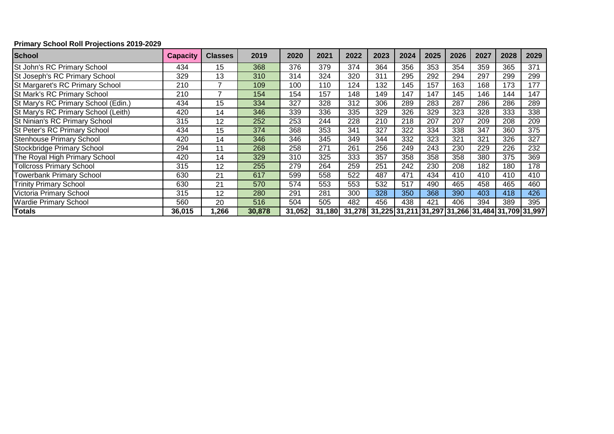#### **Primary School Roll Projections 2019-2029**

| <b>School</b>                       | Capacity | <b>Classes</b> | 2019   | 2020   | 2021   | 2022   | 2023                                             | 2024 | 2025 | 2026 | 2027 | 2028 | 2029 |
|-------------------------------------|----------|----------------|--------|--------|--------|--------|--------------------------------------------------|------|------|------|------|------|------|
| St John's RC Primary School         | 434      | 15             | 368    | 376    | 379    | 374    | 364                                              | 356  | 353  | 354  | 359  | 365  | 371  |
| St Joseph's RC Primary School       | 329      | 13             | 310    | 314    | 324    | 320    | 311                                              | 295  | 292  | 294  | 297  | 299  | 299  |
| St Margaret's RC Primary School     | 210      | 7              | 109    | 100    | 110    | 124    | 132                                              | 145  | 157  | 163  | 168  | 173  | 177  |
| St Mark's RC Primary School         | 210      | 7              | 154    | 154    | 157    | 148    | 149                                              | 147  | 147  | 145  | 146  | 144  | 147  |
| St Mary's RC Primary School (Edin.) | 434      | 15             | 334    | 327    | 328    | 312    | 306                                              | 289  | 283  | 287  | 286  | 286  | 289  |
| St Mary's RC Primary School (Leith) | 420      | 14             | 346    | 339    | 336    | 335    | 329                                              | 326  | 329  | 323  | 328  | 333  | 338  |
| St Ninian's RC Primary School       | 315      | 12             | 252    | 253    | 244    | 228    | 210                                              | 218  | 207  | 207  | 209  | 208  | 209  |
| St Peter's RC Primary School        | 434      | 15             | 374    | 368    | 353    | 341    | 327                                              | 322  | 334  | 338  | 347  | 360  | 375  |
| <b>Stenhouse Primary School</b>     | 420      | 14             | 346    | 346    | 345    | 349    | 344                                              | 332  | 323  | 321  | 321  | 326  | 327  |
| Stockbridge Primary School          | 294      | 11             | 268    | 258    | 271    | 261    | 256                                              | 249  | 243  | 230  | 229  | 226  | 232  |
| The Royal High Primary School       | 420      | 14             | 329    | 310    | 325    | 333    | 357                                              | 358  | 358  | 358  | 380  | 375  | 369  |
| <b>Tollcross Primary School</b>     | 315      | 12             | 255    | 279    | 264    | 259    | 251                                              | 242  | 230  | 208  | 182  | 180  | 178  |
| <b>Towerbank Primary School</b>     | 630      | 21             | 617    | 599    | 558    | 522    | 487                                              | 471  | 434  | 410  | 410  | 410  | 410  |
| <b>Trinity Primary School</b>       | 630      | 21             | 570    | 574    | 553    | 553    | 532                                              | 517  | 490  | 465  | 458  | 465  | 460  |
| Victoria Primary School             | 315      | 12             | 280    | 291    | 281    | 300    | 328                                              | 350  | 368  | 390  | 403  | 418  | 426  |
| <b>Wardie Primary School</b>        | 560      | 20             | 516    | 504    | 505    | 482    | 456                                              | 438  | 421  | 406  | 394  | 389  | 395  |
| <b>Totals</b>                       | 36,015   | .266           | 30,878 | 31,052 | 31,180 | 31,278 | 31,225 31,211 31,297 31,266 31,484 31,709 31,997 |      |      |      |      |      |      |